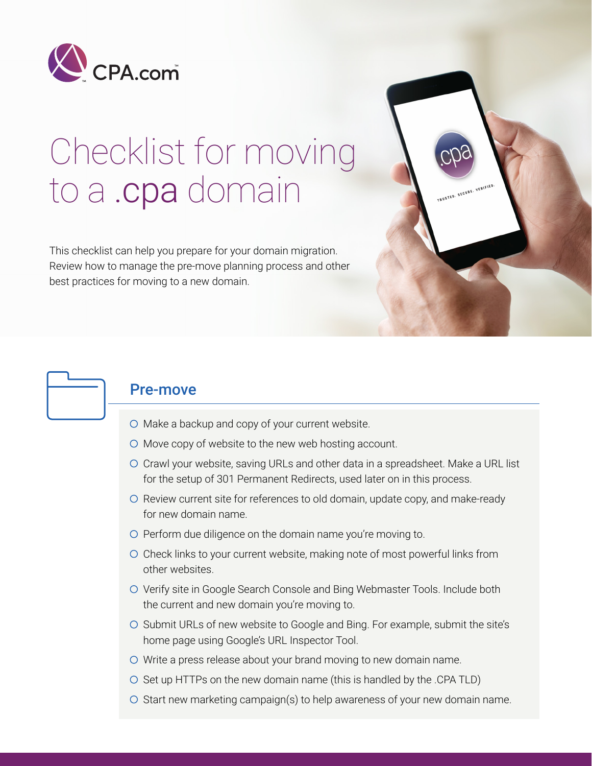

# Checklist for moving to a .cpa domain

This checklist can help you prepare for your domain migration. Review how to manage the pre-move planning process and other best practices for moving to a new domain.



#### Pre-move

- $\circ$  Make a backup and copy of your current website.
- $\circ$  Move copy of website to the new web hosting account.
- Crawl your website, saving URLs and other data in a spreadsheet. Make a URL list for the setup of 301 Permanent Redirects, used later on in this process.

TRUSTED. SECURE. VERIFIED

- O Review current site for references to old domain, update copy, and make-ready for new domain name.
- $\circ$  Perform due diligence on the domain name you're moving to.
- Check links to your current website, making note of most powerful links from other websites.
- O Verify site in Google Search Console and Bing Webmaster Tools. Include both the current and new domain you're moving to.
- O Submit URLs of new website to Google and Bing. For example, submit the site's home page using Google's URL Inspector Tool.
- Write a press release about your brand moving to new domain name.
- $\circ$  Set up HTTPs on the new domain name (this is handled by the .CPA TLD)
- $\circ$  Start new marketing campaign(s) to help awareness of your new domain name.